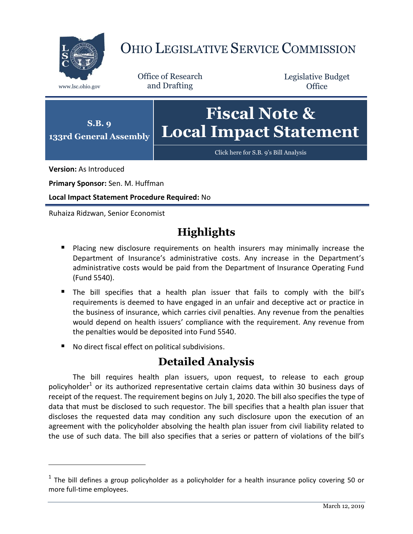

## OHIO LEGISLATIVE SERVICE COMMISSION

Office of Research www.lsc.ohio.gov and Drafting

Legislative Budget **Office** 



[Click here for S.B.](https://www.legislature.ohio.gov/legislation/legislation-documents?id=GA133-SB-9) 9's Bill Analysis

**Version:** As Introduced

 $\overline{a}$ 

**Primary Sponsor:** Sen. M. Huffman

**Local Impact Statement Procedure Required:** No

Ruhaiza Ridzwan, Senior Economist

## **Highlights**

- **Placing new disclosure requirements on health insurers may minimally increase the** Department of Insurance's administrative costs. Any increase in the Department's administrative costs would be paid from the Department of Insurance Operating Fund (Fund 5540).
- The bill specifies that a health plan issuer that fails to comply with the bill's requirements is deemed to have engaged in an unfair and deceptive act or practice in the business of insurance, which carries civil penalties. Any revenue from the penalties would depend on health issuers' compliance with the requirement. Any revenue from the penalties would be deposited into Fund 5540.
- No direct fiscal effect on political subdivisions.

## **Detailed Analysis**

The bill requires health plan issuers, upon request, to release to each group policyholder<sup>1</sup> or its authorized representative certain claims data within 30 business days of receipt of the request. The requirement begins on July 1, 2020. The bill also specifies the type of data that must be disclosed to such requestor. The bill specifies that a health plan issuer that discloses the requested data may condition any such disclosure upon the execution of an agreement with the policyholder absolving the health plan issuer from civil liability related to the use of such data. The bill also specifies that a series or pattern of violations of the bill's

 $<sup>1</sup>$  The bill defines a group policyholder as a policyholder for a health insurance policy covering 50 or</sup> more full-time employees.